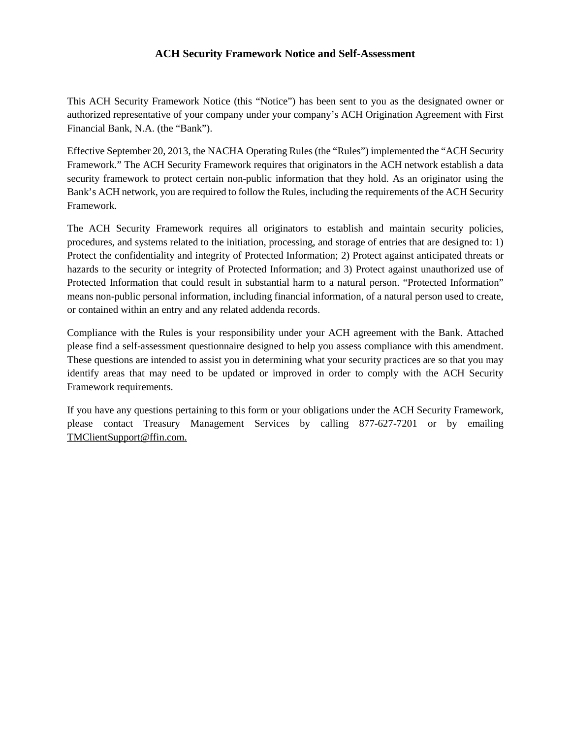# **ACH Security Framework Notice and Self-Assessment**

This ACH Security Framework Notice (this "Notice") has been sent to you as the designated owner or authorized representative of your company under your company's ACH Origination Agreement with First Financial Bank, N.A. (the "Bank").

Effective September 20, 2013, the NACHA Operating Rules (the "Rules") implemented the "ACH Security Framework." The ACH Security Framework requires that originators in the ACH network establish a data security framework to protect certain non-public information that they hold. As an originator using the Bank's ACH network, you are required to follow the Rules, including the requirements of the ACH Security Framework.

The ACH Security Framework requires all originators to establish and maintain security policies, procedures, and systems related to the initiation, processing, and storage of entries that are designed to: 1) Protect the confidentiality and integrity of Protected Information; 2) Protect against anticipated threats or hazards to the security or integrity of Protected Information; and 3) Protect against unauthorized use of Protected Information that could result in substantial harm to a natural person. "Protected Information" means non-public personal information, including financial information, of a natural person used to create, or contained within an entry and any related addenda records.

Compliance with the Rules is your responsibility under your ACH agreement with the Bank. Attached please find a self-assessment questionnaire designed to help you assess compliance with this amendment. These questions are intended to assist you in determining what your security practices are so that you may identify areas that may need to be updated or improved in order to comply with the ACH Security Framework requirements.

If you have any questions pertaining to this form or your obligations under the ACH Security Framework, please contact Treasury Management Services by calling 877-627-7201 or by emailing TMClientSupport@ffin.com.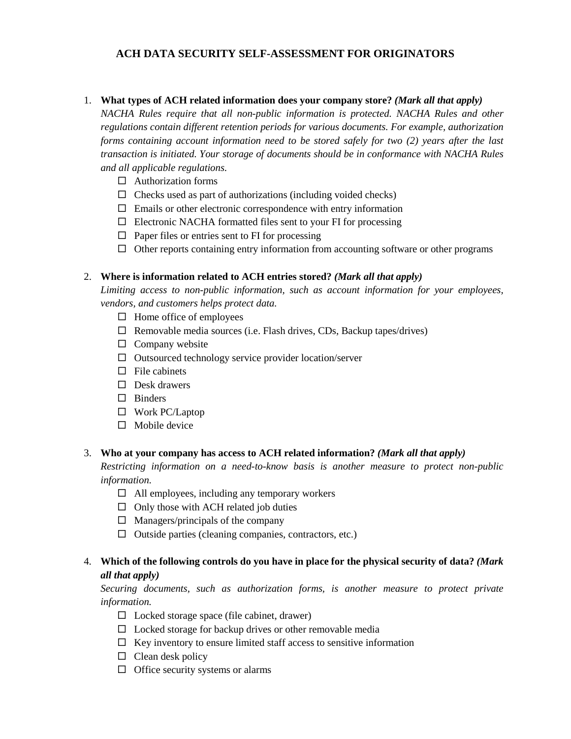# **ACH DATA SECURITY SELF-ASSESSMENT FOR ORIGINATORS**

#### 1. **What types of ACH related information does your company store?** *(Mark all that apply)*

*NACHA Rules require that all non-public information is protected. NACHA Rules and other regulations contain different retention periods for various documents. For example, authorization forms containing account information need to be stored safely for two (2) years after the last transaction is initiated. Your storage of documents should be in conformance with NACHA Rules and all applicable regulations.*

- $\Box$  Authorization forms
- $\Box$  Checks used as part of authorizations (including voided checks)
- $\Box$  Emails or other electronic correspondence with entry information
- $\Box$  Electronic NACHA formatted files sent to your FI for processing
- $\Box$  Paper files or entries sent to FI for processing
- $\Box$  Other reports containing entry information from accounting software or other programs

#### 2. **Where is information related to ACH entries stored?** *(Mark all that apply)*

*Limiting access to non-public information, such as account information for your employees, vendors, and customers helps protect data.*

- $\Box$  Home office of employees
- $\Box$  Removable media sources (i.e. Flash drives, CDs, Backup tapes/drives)
- $\Box$  Company website
- $\Box$  Outsourced technology service provider location/server
- $\Box$  File cabinets
- $\Box$  Desk drawers
- $\square$  Binders
- Work PC/Laptop
- $\Box$  Mobile device

#### 3. **Who at your company has access to ACH related information?** *(Mark all that apply)*

*Restricting information on a need-to-know basis is another measure to protect non-public information.*

- $\Box$  All employees, including any temporary workers
- $\Box$  Only those with ACH related job duties
- $\Box$  Managers/principals of the company
- $\Box$  Outside parties (cleaning companies, contractors, etc.)

### 4. **Which of the following controls do you have in place for the physical security of data?** *(Mark all that apply)*

*Securing documents, such as authorization forms, is another measure to protect private information.* 

- $\square$  Locked storage space (file cabinet, drawer)
- $\Box$  Locked storage for backup drives or other removable media
- $\Box$  Key inventory to ensure limited staff access to sensitive information
- $\Box$  Clean desk policy
- $\Box$  Office security systems or alarms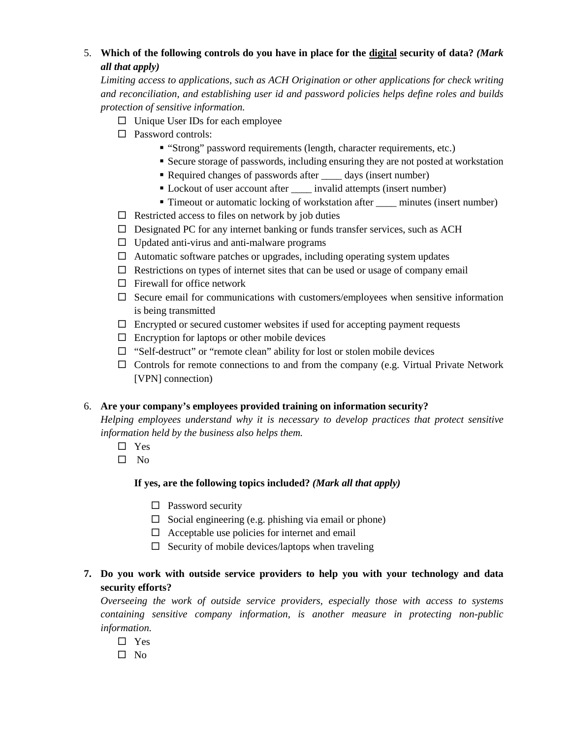# 5. **Which of the following controls do you have in place for the digital security of data?** *(Mark all that apply)*

*Limiting access to applications, such as ACH Origination or other applications for check writing and reconciliation, and establishing user id and password policies helps define roles and builds protection of sensitive information.*

- $\Box$  Unique User IDs for each employee
- □ Password controls:
	- "Strong" password requirements (length, character requirements, etc.)
	- Secure storage of passwords, including ensuring they are not posted at workstation
	- Required changes of passwords after days (insert number)
	- Lockout of user account after \_\_\_\_\_ invalid attempts (insert number)
	- Timeout or automatic locking of workstation after <u>equal minutes</u> (insert number)
- $\Box$  Restricted access to files on network by job duties
- $\Box$  Designated PC for any internet banking or funds transfer services, such as ACH
- $\Box$  Updated anti-virus and anti-malware programs
- $\Box$  Automatic software patches or upgrades, including operating system updates
- $\Box$  Restrictions on types of internet sites that can be used or usage of company email
- $\Box$  Firewall for office network
- $\square$  Secure email for communications with customers/employees when sensitive information is being transmitted
- $\Box$  Encrypted or secured customer websites if used for accepting payment requests
- $\Box$  Encryption for laptops or other mobile devices
- $\Box$  "Self-destruct" or "remote clean" ability for lost or stolen mobile devices
- $\Box$  Controls for remote connections to and from the company (e.g. Virtual Private Network [VPN] connection)

### 6. **Are your company's employees provided training on information security?**

*Helping employees understand why it is necessary to develop practices that protect sensitive information held by the business also helps them.*

- □ Yes
- $\square$  No

#### **If yes, are the following topics included?** *(Mark all that apply)*

- $\square$  Password security
- $\Box$  Social engineering (e.g. phishing via email or phone)
- $\Box$  Acceptable use policies for internet and email
- $\Box$  Security of mobile devices/laptops when traveling

# **7. Do you work with outside service providers to help you with your technology and data security efforts?**

*Overseeing the work of outside service providers, especially those with access to systems containing sensitive company information, is another measure in protecting non-public information.* 

- Yes
- $\Box$  No